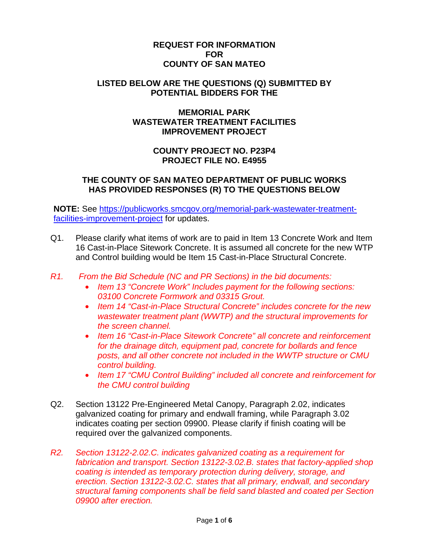## **REQUEST FOR INFORMATION FOR COUNTY OF SAN MATEO**

#### **LISTED BELOW ARE THE QUESTIONS (Q) SUBMITTED BY POTENTIAL BIDDERS FOR THE**

# **MEMORIAL PARK WASTEWATER TREATMENT FACILITIES IMPROVEMENT PROJECT**

# **COUNTY PROJECT NO. P23P4 PROJECT FILE NO. E4955**

# **THE COUNTY OF SAN MATEO DEPARTMENT OF PUBLIC WORKS HAS PROVIDED RESPONSES (R) TO THE QUESTIONS BELOW**

**NOTE:** See https://publicworks.smcgov.org/memorial-park-wastewater-treatmentfacilities-improvement-project for updates.

- Q1. Please clarify what items of work are to paid in Item 13 Concrete Work and Item 16 Cast-in-Place Sitework Concrete. It is assumed all concrete for the new WTP and Control building would be Item 15 Cast-in-Place Structural Concrete.
- *R1. From the Bid Schedule (NC and PR Sections) in the bid documents:* 
	- *Item 13 "Concrete Work" Includes payment for the following sections: 03100 Concrete Formwork and 03315 Grout.*
	- *Item 14 "Cast-in-Place Structural Concrete" includes concrete for the new wastewater treatment plant (WWTP) and the structural improvements for the screen channel.*
	- *Item 16 "Cast-in-Place Sitework Concrete" all concrete and reinforcement for the drainage ditch, equipment pad, concrete for bollards and fence posts, and all other concrete not included in the WWTP structure or CMU control building.*
	- *Item 17 "CMU Control Building" included all concrete and reinforcement for the CMU control building*
- Q2. Section 13122 Pre-Engineered Metal Canopy, Paragraph 2.02, indicates galvanized coating for primary and endwall framing, while Paragraph 3.02 indicates coating per section 09900. Please clarify if finish coating will be required over the galvanized components.
- *R2. Section 13122-2.02.C. indicates galvanized coating as a requirement for fabrication and transport. Section 13122-3.02.B. states that factory-applied shop coating is intended as temporary protection during delivery, storage, and erection. Section 13122-3.02.C. states that all primary, endwall, and secondary structural faming components shall be field sand blasted and coated per Section 09900 after erection.*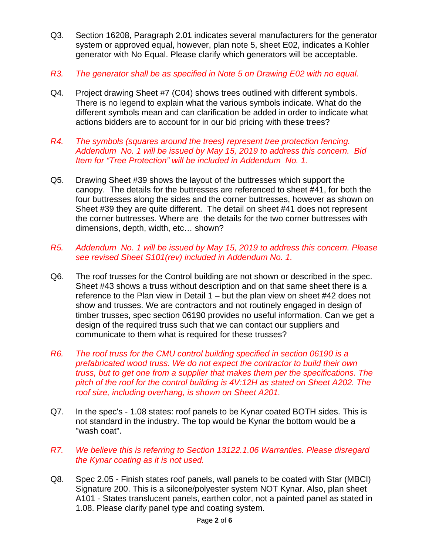- Q3. Section 16208, Paragraph 2.01 indicates several manufacturers for the generator system or approved equal, however, plan note 5, sheet E02, indicates a Kohler generator with No Equal. Please clarify which generators will be acceptable.
- *R3. The generator shall be as specified in Note 5 on Drawing E02 with no equal.*
- Q4. Project drawing Sheet #7 (C04) shows trees outlined with different symbols. There is no legend to explain what the various symbols indicate. What do the different symbols mean and can clarification be added in order to indicate what actions bidders are to account for in our bid pricing with these trees?
- *R4. The symbols (squares around the trees) represent tree protection fencing. Addendum No. 1 will be issued by May 15, 2019 to address this concern. Bid Item for "Tree Protection" will be included in Addendum No. 1.*
- Q5. Drawing Sheet #39 shows the layout of the buttresses which support the canopy. The details for the buttresses are referenced to sheet #41, for both the four buttresses along the sides and the corner buttresses, however as shown on Sheet #39 they are quite different. The detail on sheet #41 does not represent the corner buttresses. Where are the details for the two corner buttresses with dimensions, depth, width, etc… shown?
- *R5. Addendum No. 1 will be issued by May 15, 2019 to address this concern. Please see revised Sheet S101(rev) included in Addendum No. 1.*
- Q6. The roof trusses for the Control building are not shown or described in the spec. Sheet #43 shows a truss without description and on that same sheet there is a reference to the Plan view in Detail 1 – but the plan view on sheet #42 does not show and trusses. We are contractors and not routinely engaged in design of timber trusses, spec section 06190 provides no useful information. Can we get a design of the required truss such that we can contact our suppliers and communicate to them what is required for these trusses?
- *R6. The roof truss for the CMU control building specified in section 06190 is a prefabricated wood truss. We do not expect the contractor to build their own truss, but to get one from a supplier that makes them per the specifications. The pitch of the roof for the control building is 4V:12H as stated on Sheet A202. The roof size, including overhang, is shown on Sheet A201.*
- Q7. In the spec's 1.08 states: roof panels to be Kynar coated BOTH sides. This is not standard in the industry. The top would be Kynar the bottom would be a "wash coat".
- *R7. We believe this is referring to Section 13122.1.06 Warranties. Please disregard the Kynar coating as it is not used.*
- Q8. Spec 2.05 Finish states roof panels, wall panels to be coated with Star (MBCI) Signature 200. This is a silcone/polyester system NOT Kynar. Also, plan sheet A101 - States translucent panels, earthen color, not a painted panel as stated in 1.08. Please clarify panel type and coating system.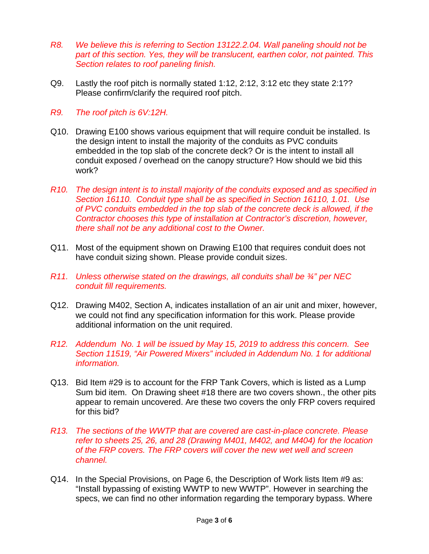- *R8. We believe this is referring to Section 13122.2.04. Wall paneling should not be part of this section. Yes, they will be translucent, earthen color, not painted. This Section relates to roof paneling finish.*
- Q9. Lastly the roof pitch is normally stated 1:12, 2:12, 3:12 etc they state 2:1?? Please confirm/clarify the required roof pitch.
- *R9. The roof pitch is 6V:12H.*
- Q10. Drawing E100 shows various equipment that will require conduit be installed. Is the design intent to install the majority of the conduits as PVC conduits embedded in the top slab of the concrete deck? Or is the intent to install all conduit exposed / overhead on the canopy structure? How should we bid this work?
- *R10. The design intent is to install majority of the conduits exposed and as specified in Section 16110. Conduit type shall be as specified in Section 16110, 1.01. Use of PVC conduits embedded in the top slab of the concrete deck is allowed, if the Contractor chooses this type of installation at Contractor's discretion, however, there shall not be any additional cost to the Owner.*
- Q11. Most of the equipment shown on Drawing E100 that requires conduit does not have conduit sizing shown. Please provide conduit sizes.
- *R11. Unless otherwise stated on the drawings, all conduits shall be ¾" per NEC conduit fill requirements.*
- Q12. Drawing M402, Section A, indicates installation of an air unit and mixer, however, we could not find any specification information for this work. Please provide additional information on the unit required.
- *R12. Addendum No. 1 will be issued by May 15, 2019 to address this concern. See Section 11519, "Air Powered Mixers" included in Addendum No. 1 for additional information.*
- Q13. Bid Item #29 is to account for the FRP Tank Covers, which is listed as a Lump Sum bid item. On Drawing sheet #18 there are two covers shown., the other pits appear to remain uncovered. Are these two covers the only FRP covers required for this bid?
- *R13. The sections of the WWTP that are covered are cast-in-place concrete. Please refer to sheets 25, 26, and 28 (Drawing M401, M402, and M404) for the location of the FRP covers. The FRP covers will cover the new wet well and screen channel.*
- Q14. In the Special Provisions, on Page 6, the Description of Work lists Item #9 as: "Install bypassing of existing WWTP to new WWTP". However in searching the specs, we can find no other information regarding the temporary bypass. Where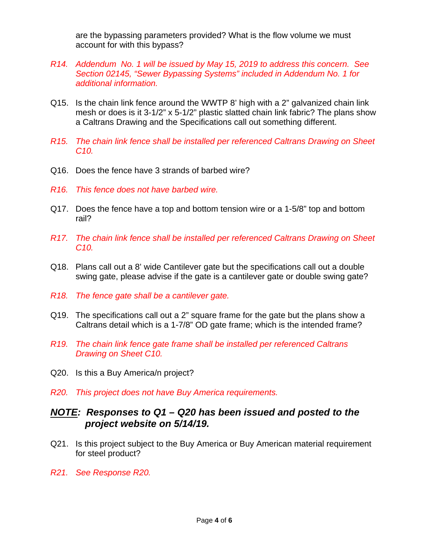are the bypassing parameters provided? What is the flow volume we must account for with this bypass?

- *R14. Addendum No. 1 will be issued by May 15, 2019 to address this concern. See Section 02145, "Sewer Bypassing Systems" included in Addendum No. 1 for additional information.*
- Q15. Is the chain link fence around the WWTP 8' high with a 2" galvanized chain link mesh or does is it 3-1/2" x 5-1/2" plastic slatted chain link fabric? The plans show a Caltrans Drawing and the Specifications call out something different.
- *R15. The chain link fence shall be installed per referenced Caltrans Drawing on Sheet C10.*
- Q16. Does the fence have 3 strands of barbed wire?
- *R16. This fence does not have barbed wire.*
- Q17. Does the fence have a top and bottom tension wire or a 1-5/8" top and bottom rail?
- *R17. The chain link fence shall be installed per referenced Caltrans Drawing on Sheet C10.*
- Q18. Plans call out a 8' wide Cantilever gate but the specifications call out a double swing gate, please advise if the gate is a cantilever gate or double swing gate?
- *R18. The fence gate shall be a cantilever gate.*
- Q19. The specifications call out a 2" square frame for the gate but the plans show a Caltrans detail which is a 1-7/8" OD gate frame; which is the intended frame?
- *R19. The chain link fence gate frame shall be installed per referenced Caltrans Drawing on Sheet C10.*
- Q20. Is this a Buy America/n project?
- *R20. This project does not have Buy America requirements.*

# *NOTE: Responses to Q1 – Q20 has been issued and posted to the project website on 5/14/19.*

- Q21. Is this project subject to the Buy America or Buy American material requirement for steel product?
- *R21. See Response R20.*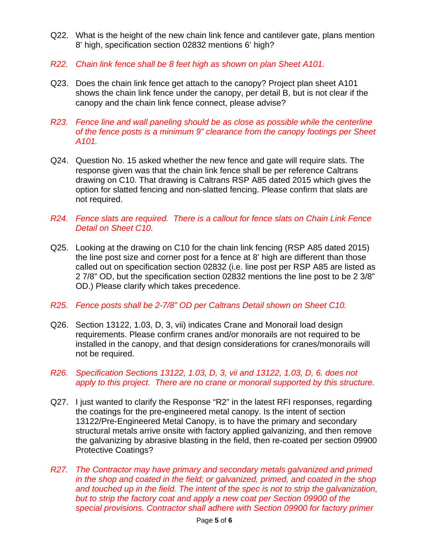- Q22. What is the height of the new chain link fence and cantilever gate, plans mention 8' high, specification section 02832 mentions 6' high?
- *R22. Chain link fence shall be 8 feet high as shown on plan Sheet A101.*
- Q23. Does the chain link fence get attach to the canopy? Project plan sheet A101 shows the chain link fence under the canopy, per detail B, but is not clear if the canopy and the chain link fence connect, please advise?
- *R23. Fence line and wall paneling should be as close as possible while the centerline of the fence posts is a minimum 9" clearance from the canopy footings per Sheet A101.*
- Q24. Question No. 15 asked whether the new fence and gate will require slats. The response given was that the chain link fence shall be per reference Caltrans drawing on C10. That drawing is Caltrans RSP A85 dated 2015 which gives the option for slatted fencing and non-slatted fencing. Please confirm that slats are not required.
- *R24. Fence slats are required. There is a callout for fence slats on Chain Link Fence Detail on Sheet C10.*
- Q25. Looking at the drawing on C10 for the chain link fencing (RSP A85 dated 2015) the line post size and corner post for a fence at 8' high are different than those called out on specification section 02832 (i.e. line post per RSP A85 are listed as 2 7/8" OD, but the specification section 02832 mentions the line post to be 2 3/8" OD.) Please clarify which takes precedence.
- *R25. Fence posts shall be 2-7/8" OD per Caltrans Detail shown on Sheet C10.*
- Q26. Section 13122, 1.03, D, 3, vii) indicates Crane and Monorail load design requirements. Please confirm cranes and/or monorails are not required to be installed in the canopy, and that design considerations for cranes/monorails will not be required.
- *R26. Specification Sections 13122, 1.03, D, 3, vii and 13122, 1.03, D, 6. does not apply to this project. There are no crane or monorail supported by this structure.*
- Q27. I just wanted to clarify the Response "R2" in the latest RFI responses, regarding the coatings for the pre-engineered metal canopy. Is the intent of section 13122/Pre-Engineered Metal Canopy, is to have the primary and secondary structural metals arrive onsite with factory applied galvanizing, and then remove the galvanizing by abrasive blasting in the field, then re-coated per section 09900 Protective Coatings?
- *R27. The Contractor may have primary and secondary metals galvanized and primed in the shop and coated in the field; or galvanized, primed, and coated in the shop and touched up in the field. The intent of the spec is not to strip the galvanization, but to strip the factory coat and apply a new coat per Section 09900 of the special provisions. Contractor shall adhere with Section 09900 for factory primer*